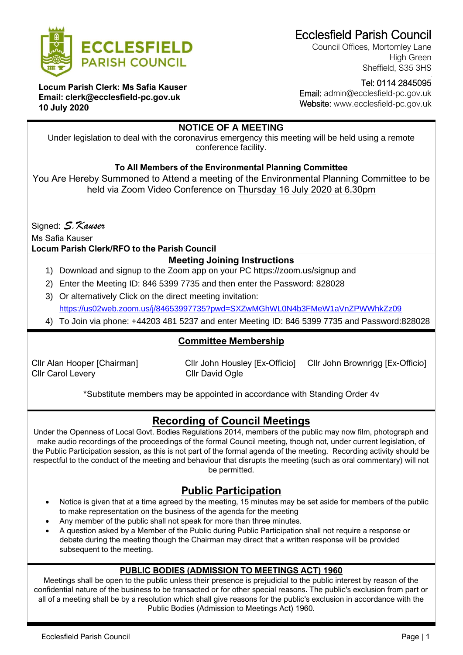

Ecclesfield Parish Council

Council Offices, Mortomley Lane High Green Sheffield, S35 3HS

**Locum Parish Clerk: Ms Safia Kauser Email: clerk@ecclesfield-pc.gov.uk 10 July 2020**

 Tel: 0114 2845095 Email: admin@ecclesfield-pc.gov.uk

Website: www.ecclesfield-pc.gov.uk

## **NOTICE OF A MEETING**

Under legislation to deal with the coronavirus emergency this meeting will be held using a remote conference facility.

### **To All Members of the Environmental Planning Committee**

You Are Hereby Summoned to Attend a meeting of the Environmental Planning Committee to be held via Zoom Video Conference on Thursday 16 July 2020 at 6.30pm

Signed: *S.Kauser* 

Ms Safia Kauser

#### **Locum Parish Clerk/RFO to the Parish Council**

### **Meeting Joining Instructions**

- 1) Download and signup to the Zoom app on your PC https://zoom.us/signup and
- 2) Enter the Meeting ID: 846 5399 7735 and then enter the Password: 828028
- 3) Or alternatively Click on the direct meeting invitation: <https://us02web.zoom.us/j/84653997735?pwd=SXZwMGhWL0N4b3FMeW1aVnZPWWhkZz09>
- 4) To Join via phone: +44203 481 5237 and enter Meeting ID: 846 5399 7735 and Password:828028

### **Committee Membership**

Cllr Carol Levery Cllr David Ogle

Cllr Alan Hooper [Chairman] Cllr John Housley [Ex-Officio] Cllr John Brownrigg [Ex-Officio]

\*Substitute members may be appointed in accordance with Standing Order 4v

# **Recording of Council Meetings**

Under the Openness of Local Govt. Bodies Regulations 2014, members of the public may now film, photograph and make audio recordings of the proceedings of the formal Council meeting, though not, under current legislation, of the Public Participation session, as this is not part of the formal agenda of the meeting. Recording activity should be respectful to the conduct of the meeting and behaviour that disrupts the meeting (such as oral commentary) will not be permitted.

## **Public Participation**

- Notice is given that at a time agreed by the meeting, 15 minutes may be set aside for members of the public to make representation on the business of the agenda for the meeting
- Any member of the public shall not speak for more than three minutes.
- A question asked by a Member of the Public during Public Participation shall not require a response or debate during the meeting though the Chairman may direct that a written response will be provided subsequent to the meeting.

#### **PUBLIC BODIES (ADMISSION TO MEETINGS ACT) 1960**

Meetings shall be open to the public unless their presence is prejudicial to the public interest by reason of the confidential nature of the business to be transacted or for other special reasons. The public's exclusion from part or all of a meeting shall be by a resolution which shall give reasons for the public's exclusion in accordance with the Public Bodies (Admission to Meetings Act) 1960.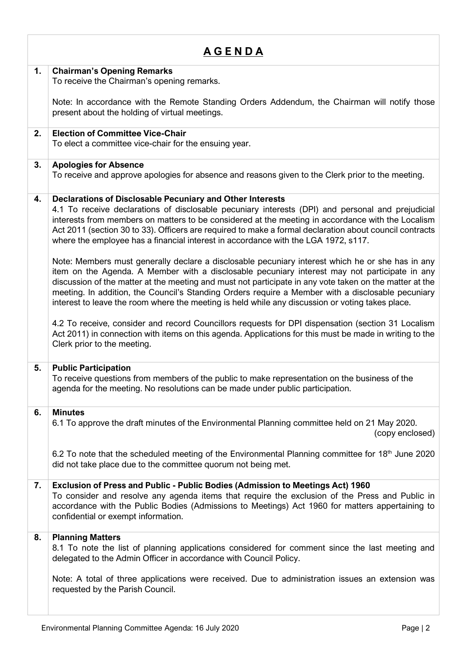| <u>AGENDA</u> |                                                                                                                                                                                                                                                                                                                                                                                                                                                                                                                                                                                                                                                                                                                                                                                             |  |
|---------------|---------------------------------------------------------------------------------------------------------------------------------------------------------------------------------------------------------------------------------------------------------------------------------------------------------------------------------------------------------------------------------------------------------------------------------------------------------------------------------------------------------------------------------------------------------------------------------------------------------------------------------------------------------------------------------------------------------------------------------------------------------------------------------------------|--|
| 1.            | <b>Chairman's Opening Remarks</b><br>To receive the Chairman's opening remarks.                                                                                                                                                                                                                                                                                                                                                                                                                                                                                                                                                                                                                                                                                                             |  |
|               | Note: In accordance with the Remote Standing Orders Addendum, the Chairman will notify those<br>present about the holding of virtual meetings.                                                                                                                                                                                                                                                                                                                                                                                                                                                                                                                                                                                                                                              |  |
| 2.            | <b>Election of Committee Vice-Chair</b><br>To elect a committee vice-chair for the ensuing year.                                                                                                                                                                                                                                                                                                                                                                                                                                                                                                                                                                                                                                                                                            |  |
| 3.            | <b>Apologies for Absence</b><br>To receive and approve apologies for absence and reasons given to the Clerk prior to the meeting.                                                                                                                                                                                                                                                                                                                                                                                                                                                                                                                                                                                                                                                           |  |
| 4.            | <b>Declarations of Disclosable Pecuniary and Other Interests</b><br>4.1 To receive declarations of disclosable pecuniary interests (DPI) and personal and prejudicial<br>interests from members on matters to be considered at the meeting in accordance with the Localism<br>Act 2011 (section 30 to 33). Officers are required to make a formal declaration about council contracts<br>where the employee has a financial interest in accordance with the LGA 1972, s117.<br>Note: Members must generally declare a disclosable pecuniary interest which he or she has in any<br>item on the Agenda. A Member with a disclosable pecuniary interest may not participate in any<br>discussion of the matter at the meeting and must not participate in any vote taken on the matter at the |  |
|               | meeting. In addition, the Council's Standing Orders require a Member with a disclosable pecuniary<br>interest to leave the room where the meeting is held while any discussion or voting takes place.<br>4.2 To receive, consider and record Councillors requests for DPI dispensation (section 31 Localism<br>Act 2011) in connection with items on this agenda. Applications for this must be made in writing to the<br>Clerk prior to the meeting.                                                                                                                                                                                                                                                                                                                                       |  |
| 5.            | <b>Public Participation</b><br>To receive questions from members of the public to make representation on the business of the<br>agenda for the meeting. No resolutions can be made under public participation.                                                                                                                                                                                                                                                                                                                                                                                                                                                                                                                                                                              |  |
| 6.            | <b>Minutes</b><br>6.1 To approve the draft minutes of the Environmental Planning committee held on 21 May 2020.<br>(copy enclosed)                                                                                                                                                                                                                                                                                                                                                                                                                                                                                                                                                                                                                                                          |  |
|               | 6.2 To note that the scheduled meeting of the Environmental Planning committee for 18 <sup>th</sup> June 2020<br>did not take place due to the committee quorum not being met.                                                                                                                                                                                                                                                                                                                                                                                                                                                                                                                                                                                                              |  |
| 7.            | Exclusion of Press and Public - Public Bodies (Admission to Meetings Act) 1960<br>To consider and resolve any agenda items that require the exclusion of the Press and Public in<br>accordance with the Public Bodies (Admissions to Meetings) Act 1960 for matters appertaining to<br>confidential or exempt information.                                                                                                                                                                                                                                                                                                                                                                                                                                                                  |  |
| 8.            | <b>Planning Matters</b><br>8.1 To note the list of planning applications considered for comment since the last meeting and<br>delegated to the Admin Officer in accordance with Council Policy.                                                                                                                                                                                                                                                                                                                                                                                                                                                                                                                                                                                             |  |
|               | Note: A total of three applications were received. Due to administration issues an extension was<br>requested by the Parish Council.                                                                                                                                                                                                                                                                                                                                                                                                                                                                                                                                                                                                                                                        |  |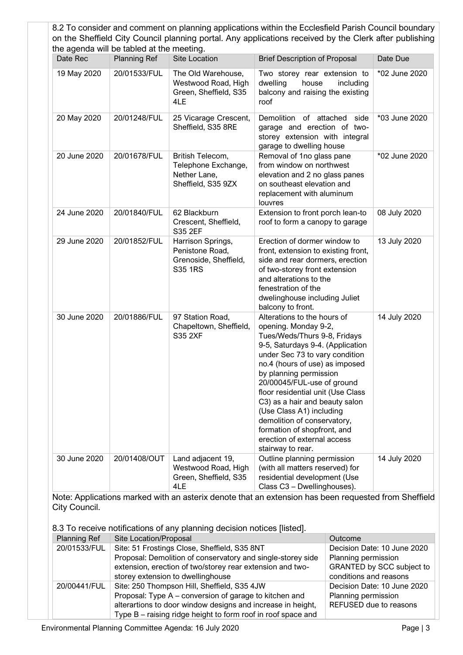|              |                                                                  |                                                                               | 8.2 To consider and comment on planning applications within the Ecclesfield Parish Council boundary<br>on the Sheffield City Council planning portal. Any applications received by the Clerk after publishing                                                                                                                                                                                                                                                            |               |
|--------------|------------------------------------------------------------------|-------------------------------------------------------------------------------|--------------------------------------------------------------------------------------------------------------------------------------------------------------------------------------------------------------------------------------------------------------------------------------------------------------------------------------------------------------------------------------------------------------------------------------------------------------------------|---------------|
| Date Rec     | the agenda will be tabled at the meeting.<br><b>Planning Ref</b> | Site Location                                                                 | <b>Brief Description of Proposal</b>                                                                                                                                                                                                                                                                                                                                                                                                                                     | Date Due      |
| 19 May 2020  | 20/01533/FUL                                                     | The Old Warehouse,<br>Westwood Road, High<br>Green, Sheffield, S35<br>4LE     | Two storey rear extension to<br>dwelling<br>house<br>including<br>balcony and raising the existing<br>roof                                                                                                                                                                                                                                                                                                                                                               | *02 June 2020 |
| 20 May 2020  | 20/01248/FUL                                                     | 25 Vicarage Crescent,<br>Sheffield, S35 8RE                                   | Demolition of attached<br>side<br>garage and erection of two-<br>storey extension with integral<br>garage to dwelling house                                                                                                                                                                                                                                                                                                                                              | *03 June 2020 |
| 20 June 2020 | 20/01678/FUL                                                     | British Telecom,<br>Telephone Exchange,<br>Nether Lane,<br>Sheffield, S35 9ZX | Removal of 1no glass pane<br>from window on northwest<br>elevation and 2 no glass panes<br>on southeast elevation and<br>replacement with aluminum<br>louvres                                                                                                                                                                                                                                                                                                            | *02 June 2020 |
| 24 June 2020 | 20/01840/FUL                                                     | 62 Blackburn<br>Crescent, Sheffield,<br>S35 2EF                               | Extension to front porch lean-to<br>roof to form a canopy to garage                                                                                                                                                                                                                                                                                                                                                                                                      | 08 July 2020  |
| 29 June 2020 | 20/01852/FUL                                                     | Harrison Springs,<br>Penistone Road,<br>Grenoside, Sheffield,<br>S35 1RS      | Erection of dormer window to<br>front, extension to existing front,<br>side and rear dormers, erection<br>of two-storey front extension<br>and alterations to the<br>fenestration of the<br>dwelinghouse including Juliet<br>balcony to front.                                                                                                                                                                                                                           | 13 July 2020  |
| 30 June 2020 | 20/01886/FUL                                                     | 97 Station Road,<br>Chapeltown, Sheffield,<br><b>S35 2XF</b>                  | Alterations to the hours of<br>opening. Monday 9-2,<br>Tues/Weds/Thurs 9-8, Fridays<br>9-5, Saturdays 9-4. (Application<br>under Sec 73 to vary condition<br>no.4 (hours of use) as imposed<br>by planning permission<br>20/00045/FUL-use of ground<br>floor residential unit (Use Class<br>C3) as a hair and beauty salon<br>(Use Class A1) including<br>demolition of conservatory,<br>formation of shopfront, and<br>erection of external access<br>stairway to rear. | 14 July 2020  |
| 30 June 2020 | 20/01408/OUT                                                     | Land adjacent 19,<br>Westwood Road, High<br>Green, Sheffield, S35<br>4LE      | Outline planning permission<br>(with all matters reserved) for<br>residential development (Use<br>Class C3 - Dwellinghouses).                                                                                                                                                                                                                                                                                                                                            | 14 July 2020  |

Note: Applications marked with an asterix denote that an extension has been requested from Sheffield City Council.

8.3 To receive notifications of any planning decision notices [listed].

| <b>Planning Ref</b> | Site Location/Proposal                                       | Outcome                          |
|---------------------|--------------------------------------------------------------|----------------------------------|
| 20/01533/FUL        | Site: 51 Frostings Close, Sheffield, S35 8NT                 | Decision Date: 10 June 2020      |
|                     | Proposal: Demolition of conservatory and single-storey side  | Planning permission              |
|                     | extension, erection of two/storey rear extension and two-    | <b>GRANTED by SCC subject to</b> |
|                     | storey extension to dwellinghouse                            | conditions and reasons           |
| 20/00441/FUL        | Site: 250 Thompson Hill, Sheffield, S35 4JW                  | Decision Date: 10 June 2020      |
|                     | Proposal: Type A – conversion of garage to kitchen and       | Planning permission              |
|                     | alterartions to door window designs and increase in height,  | REFUSED due to reasons           |
|                     | Type B – raising ridge height to form roof in roof space and |                                  |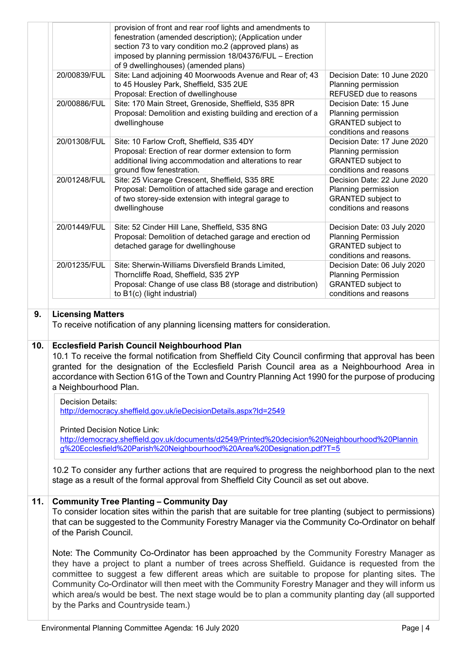|     |                                                                                                                                                                                                                 | provision of front and rear roof lights and amendments to<br>fenestration (amended description); (Application under<br>section 73 to vary condition mo.2 (approved plans) as<br>imposed by planning permission 18/04376/FUL - Erection<br>of 9 dwellinghouses) (amended plans)                                                                                                                                                                                                                                                                      |                                                                                                                   |  |  |
|-----|-----------------------------------------------------------------------------------------------------------------------------------------------------------------------------------------------------------------|-----------------------------------------------------------------------------------------------------------------------------------------------------------------------------------------------------------------------------------------------------------------------------------------------------------------------------------------------------------------------------------------------------------------------------------------------------------------------------------------------------------------------------------------------------|-------------------------------------------------------------------------------------------------------------------|--|--|
|     | 20/00839/FUL                                                                                                                                                                                                    | Site: Land adjoining 40 Moorwoods Avenue and Rear of; 43<br>to 45 Housley Park, Sheffield, S35 2UE<br>Proposal: Erection of dwellinghouse                                                                                                                                                                                                                                                                                                                                                                                                           | Decision Date: 10 June 2020<br>Planning permission<br>REFUSED due to reasons                                      |  |  |
|     | 20/00886/FUL                                                                                                                                                                                                    | Site: 170 Main Street, Grenoside, Sheffield, S35 8PR<br>Proposal: Demolition and existing building and erection of a<br>dwellinghouse                                                                                                                                                                                                                                                                                                                                                                                                               | Decision Date: 15 June<br>Planning permission<br><b>GRANTED</b> subject to<br>conditions and reasons              |  |  |
|     | 20/01308/FUL                                                                                                                                                                                                    | Site: 10 Farlow Croft, Sheffield, S35 4DY<br>Proposal: Erection of rear dormer extension to form<br>additional living accommodation and alterations to rear<br>ground flow fenestration.                                                                                                                                                                                                                                                                                                                                                            | Decision Date: 17 June 2020<br>Planning permission<br><b>GRANTED subject to</b><br>conditions and reasons         |  |  |
|     | 20/01248/FUL                                                                                                                                                                                                    | Site: 25 Vicarage Crescent, Sheffield, S35 8RE<br>Proposal: Demolition of attached side garage and erection<br>of two storey-side extension with integral garage to<br>dwellinghouse                                                                                                                                                                                                                                                                                                                                                                | Decision Date: 22 June 2020<br>Planning permission<br><b>GRANTED</b> subject to<br>conditions and reasons         |  |  |
|     | 20/01449/FUL                                                                                                                                                                                                    | Site: 52 Cinder Hill Lane, Sheffield, S35 8NG<br>Proposal: Demolition of detached garage and erection od<br>detached garage for dwellinghouse                                                                                                                                                                                                                                                                                                                                                                                                       | Decision Date: 03 July 2020<br><b>Planning Permission</b><br><b>GRANTED</b> subject to<br>conditions and reasons. |  |  |
|     | 20/01235/FUL                                                                                                                                                                                                    | Site: Sherwin-Williams Diversfield Brands Limited,<br>Thorncliffe Road, Sheffield, S35 2YP<br>Proposal: Change of use class B8 (storage and distribution)<br>to B1(c) (light industrial)                                                                                                                                                                                                                                                                                                                                                            | Decision Date: 06 July 2020<br><b>Planning Permission</b><br>GRANTED subject to<br>conditions and reasons         |  |  |
| 9.  | <b>Licensing Matters</b>                                                                                                                                                                                        | To receive notification of any planning licensing matters for consideration.                                                                                                                                                                                                                                                                                                                                                                                                                                                                        |                                                                                                                   |  |  |
| 10. | a Neighbourhood Plan.                                                                                                                                                                                           | <b>Ecclesfield Parish Council Neighbourhood Plan</b><br>10.1 To receive the formal notification from Sheffield City Council confirming that approval has been<br>granted for the designation of the Ecclesfield Parish Council area as a Neighbourhood Area in<br>accordance with Section 61G of the Town and Country Planning Act 1990 for the purpose of producing                                                                                                                                                                                |                                                                                                                   |  |  |
|     | <b>Decision Details:</b><br>http://democracy.sheffield.gov.uk/ieDecisionDetails.aspx?Id=2549                                                                                                                    |                                                                                                                                                                                                                                                                                                                                                                                                                                                                                                                                                     |                                                                                                                   |  |  |
|     | <b>Printed Decision Notice Link:</b><br>http://democracy.sheffield.gov.uk/documents/d2549/Printed%20decision%20Neighbourhood%20Plannin<br>g%20Ecclesfield%20Parish%20Neighbourhood%20Area%20Designation.pdf?T=5 |                                                                                                                                                                                                                                                                                                                                                                                                                                                                                                                                                     |                                                                                                                   |  |  |
|     |                                                                                                                                                                                                                 | 10.2 To consider any further actions that are required to progress the neighborhood plan to the next<br>stage as a result of the formal approval from Sheffield City Council as set out above.                                                                                                                                                                                                                                                                                                                                                      |                                                                                                                   |  |  |
| 11. | of the Parish Council.                                                                                                                                                                                          | <b>Community Tree Planting - Community Day</b><br>To consider location sites within the parish that are suitable for tree planting (subject to permissions)<br>that can be suggested to the Community Forestry Manager via the Community Co-Ordinator on behalf                                                                                                                                                                                                                                                                                     |                                                                                                                   |  |  |
|     |                                                                                                                                                                                                                 | Note: The Community Co-Ordinator has been approached by the Community Forestry Manager as<br>they have a project to plant a number of trees across Sheffield. Guidance is requested from the<br>committee to suggest a few different areas which are suitable to propose for planting sites. The<br>Community Co-Ordinator will then meet with the Community Forestry Manager and they will inform us<br>which area/s would be best. The next stage would be to plan a community planting day (all supported<br>by the Parks and Countryside team.) |                                                                                                                   |  |  |